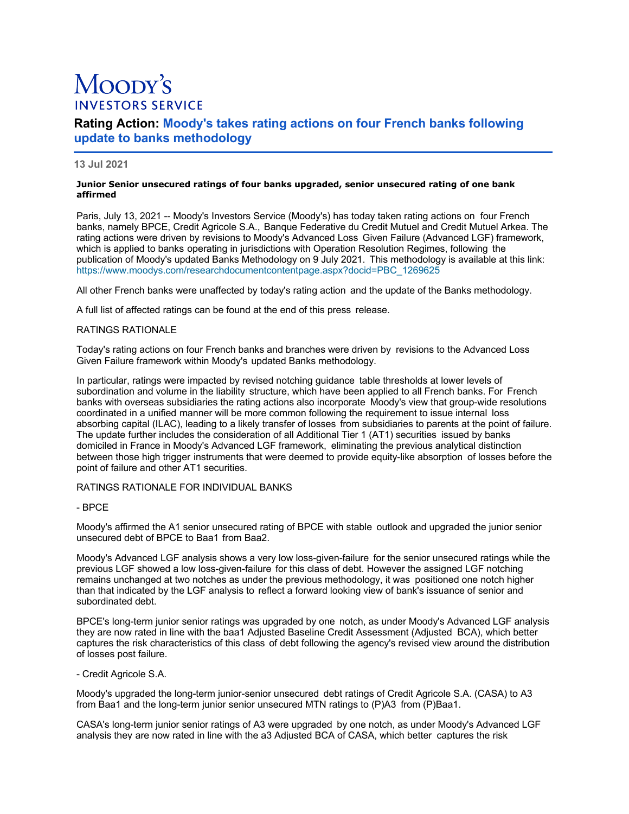# Moopy's **INVESTORS SERVICE**

# **Rating Action: Moody's takes rating actions on four French banks following update to banks methodology**

# **13 Jul 2021**

#### **Junior Senior unsecured ratings of four banks upgraded, senior unsecured rating of one bank affirmed**

Paris, July 13, 2021 -- Moody's Investors Service (Moody's) has today taken rating actions on four French banks, namely BPCE, Credit Agricole S.A., Banque Federative du Credit Mutuel and Credit Mutuel Arkea. The rating actions were driven by revisions to Moody's Advanced Loss Given Failure (Advanced LGF) framework, which is applied to banks operating in jurisdictions with Operation Resolution Regimes, following the publication of Moody's updated Banks Methodology on 9 July 2021. This methodology is available at this link: [https://www.moodys.com/researchdocumentcontentpage.aspx?docid=PBC\\_1269625](https://www.moodys.com/researchdocumentcontentpage.aspx?docid=PBC_1269625)

All other French banks were unaffected by today's rating action and the update of the Banks methodology.

A full list of affected ratings can be found at the end of this press release.

# RATINGS RATIONALE

Today's rating actions on four French banks and branches were driven by revisions to the Advanced Loss Given Failure framework within Moody's updated Banks methodology.

In particular, ratings were impacted by revised notching guidance table thresholds at lower levels of subordination and volume in the liability structure, which have been applied to all French banks. For French banks with overseas subsidiaries the rating actions also incorporate Moody's view that group-wide resolutions coordinated in a unified manner will be more common following the requirement to issue internal loss absorbing capital (ILAC), leading to a likely transfer of losses from subsidiaries to parents at the point of failure. The update further includes the consideration of all Additional Tier 1 (AT1) securities issued by banks domiciled in France in Moody's Advanced LGF framework, eliminating the previous analytical distinction between those high trigger instruments that were deemed to provide equity-like absorption of losses before the point of failure and other AT1 securities.

# RATINGS RATIONALE FOR INDIVIDUAL BANKS

#### - BPCE

Moody's affirmed the A1 senior unsecured rating of BPCE with stable outlook and upgraded the junior senior unsecured debt of BPCE to Baa1 from Baa2.

Moody's Advanced LGF analysis shows a very low loss-given-failure for the senior unsecured ratings while the previous LGF showed a low loss-given-failure for this class of debt. However the assigned LGF notching remains unchanged at two notches as under the previous methodology, it was positioned one notch higher than that indicated by the LGF analysis to reflect a forward looking view of bank's issuance of senior and subordinated debt.

BPCE's long-term junior senior ratings was upgraded by one notch, as under Moody's Advanced LGF analysis they are now rated in line with the baa1 Adjusted Baseline Credit Assessment (Adjusted BCA), which better captures the risk characteristics of this class of debt following the agency's revised view around the distribution of losses post failure.

# - Credit Agricole S.A.

Moody's upgraded the long-term junior-senior unsecured debt ratings of Credit Agricole S.A. (CASA) to A3 from Baa1 and the long-term junior senior unsecured MTN ratings to (P)A3 from (P)Baa1.

CASA's long-term junior senior ratings of A3 were upgraded by one notch, as under Moody's Advanced LGF analysis they are now rated in line with the a3 Adjusted BCA of CASA, which better captures the risk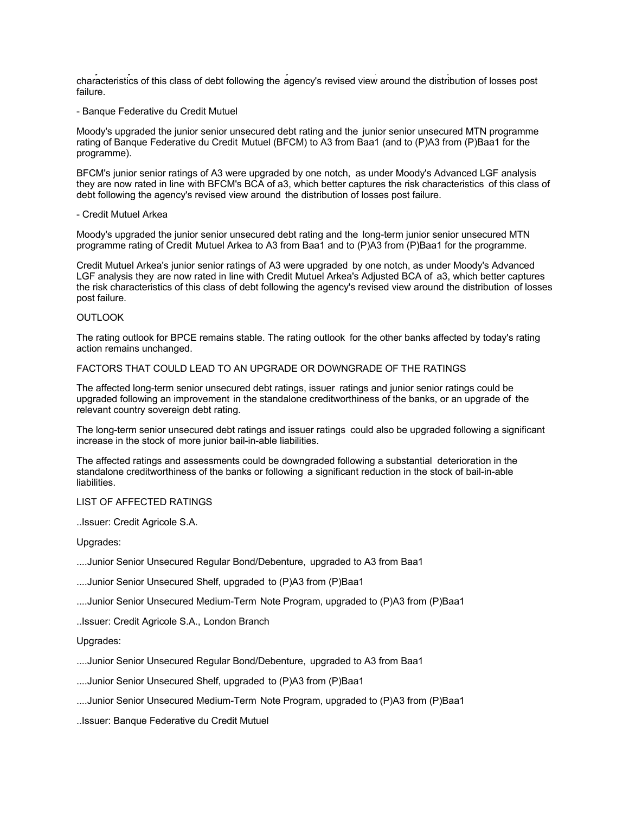analysis they are now rated in line with the a3 Adjusted BCA of CASA, which better captures the risk characteristics of this class of debt following the agency's revised view around the distribution of losses post failure.

#### - Banque Federative du Credit Mutuel

Moody's upgraded the junior senior unsecured debt rating and the junior senior unsecured MTN programme rating of Banque Federative du Credit Mutuel (BFCM) to A3 from Baa1 (and to (P)A3 from (P)Baa1 for the programme).

BFCM's junior senior ratings of A3 were upgraded by one notch, as under Moody's Advanced LGF analysis they are now rated in line with BFCM's BCA of a3, which better captures the risk characteristics of this class of debt following the agency's revised view around the distribution of losses post failure.

# - Credit Mutuel Arkea

Moody's upgraded the junior senior unsecured debt rating and the long-term junior senior unsecured MTN programme rating of Credit Mutuel Arkea to A3 from Baa1 and to (P)A3 from (P)Baa1 for the programme.

Credit Mutuel Arkea's junior senior ratings of A3 were upgraded by one notch, as under Moody's Advanced LGF analysis they are now rated in line with Credit Mutuel Arkea's Adjusted BCA of a3, which better captures the risk characteristics of this class of debt following the agency's revised view around the distribution of losses post failure.

#### **OUTLOOK**

The rating outlook for BPCE remains stable. The rating outlook for the other banks affected by today's rating action remains unchanged.

# FACTORS THAT COULD LEAD TO AN UPGRADE OR DOWNGRADE OF THE RATINGS

The affected long-term senior unsecured debt ratings, issuer ratings and junior senior ratings could be upgraded following an improvement in the standalone creditworthiness of the banks, or an upgrade of the relevant country sovereign debt rating.

The long-term senior unsecured debt ratings and issuer ratings could also be upgraded following a significant increase in the stock of more junior bail-in-able liabilities.

The affected ratings and assessments could be downgraded following a substantial deterioration in the standalone creditworthiness of the banks or following a significant reduction in the stock of bail-in-able liabilities.

#### LIST OF AFFECTED RATINGS

..Issuer: Credit Agricole S.A.

Upgrades:

....Junior Senior Unsecured Regular Bond/Debenture, upgraded to A3 from Baa1

....Junior Senior Unsecured Shelf, upgraded to (P)A3 from (P)Baa1

....Junior Senior Unsecured Medium-Term Note Program, upgraded to (P)A3 from (P)Baa1

..Issuer: Credit Agricole S.A., London Branch

Upgrades:

....Junior Senior Unsecured Regular Bond/Debenture, upgraded to A3 from Baa1

....Junior Senior Unsecured Shelf, upgraded to (P)A3 from (P)Baa1

....Junior Senior Unsecured Medium-Term Note Program, upgraded to (P)A3 from (P)Baa1

..Issuer: Banque Federative du Credit Mutuel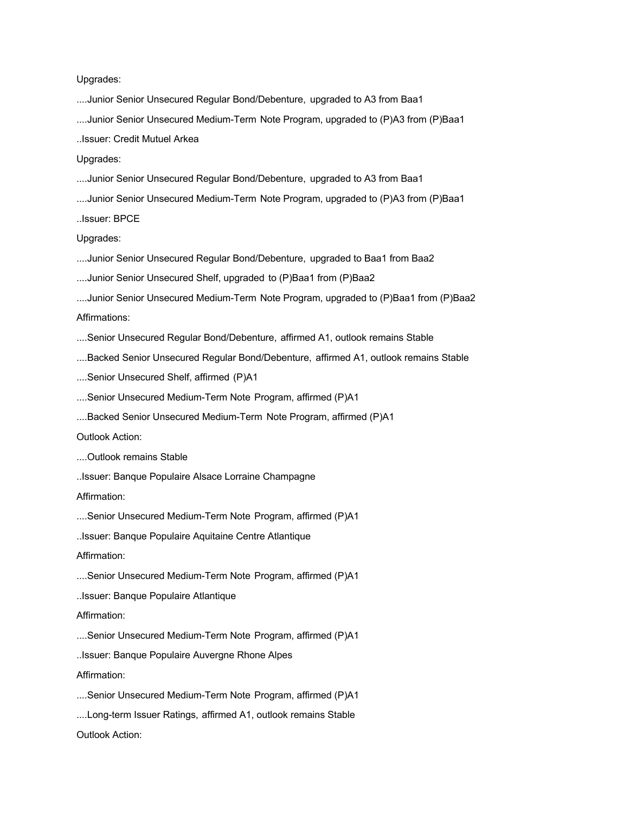# Upgrades:

....Junior Senior Unsecured Regular Bond/Debenture, upgraded to A3 from Baa1

....Junior Senior Unsecured Medium-Term Note Program, upgraded to (P)A3 from (P)Baa1

..Issuer: Credit Mutuel Arkea

Upgrades:

....Junior Senior Unsecured Regular Bond/Debenture, upgraded to A3 from Baa1

....Junior Senior Unsecured Medium-Term Note Program, upgraded to (P)A3 from (P)Baa1

..Issuer: BPCE

Upgrades:

....Junior Senior Unsecured Regular Bond/Debenture, upgraded to Baa1 from Baa2

....Junior Senior Unsecured Shelf, upgraded to (P)Baa1 from (P)Baa2

....Junior Senior Unsecured Medium-Term Note Program, upgraded to (P)Baa1 from (P)Baa2

Affirmations:

....Senior Unsecured Regular Bond/Debenture, affirmed A1, outlook remains Stable

....Backed Senior Unsecured Regular Bond/Debenture, affirmed A1, outlook remains Stable

....Senior Unsecured Shelf, affirmed (P)A1

....Senior Unsecured Medium-Term Note Program, affirmed (P)A1

....Backed Senior Unsecured Medium-Term Note Program, affirmed (P)A1

Outlook Action:

....Outlook remains Stable

..Issuer: Banque Populaire Alsace Lorraine Champagne

Affirmation:

....Senior Unsecured Medium-Term Note Program, affirmed (P)A1

..Issuer: Banque Populaire Aquitaine Centre Atlantique

Affirmation:

....Senior Unsecured Medium-Term Note Program, affirmed (P)A1

..Issuer: Banque Populaire Atlantique

Affirmation:

....Senior Unsecured Medium-Term Note Program, affirmed (P)A1

..Issuer: Banque Populaire Auvergne Rhone Alpes

Affirmation:

....Senior Unsecured Medium-Term Note Program, affirmed (P)A1

....Long-term Issuer Ratings, affirmed A1, outlook remains Stable

Outlook Action: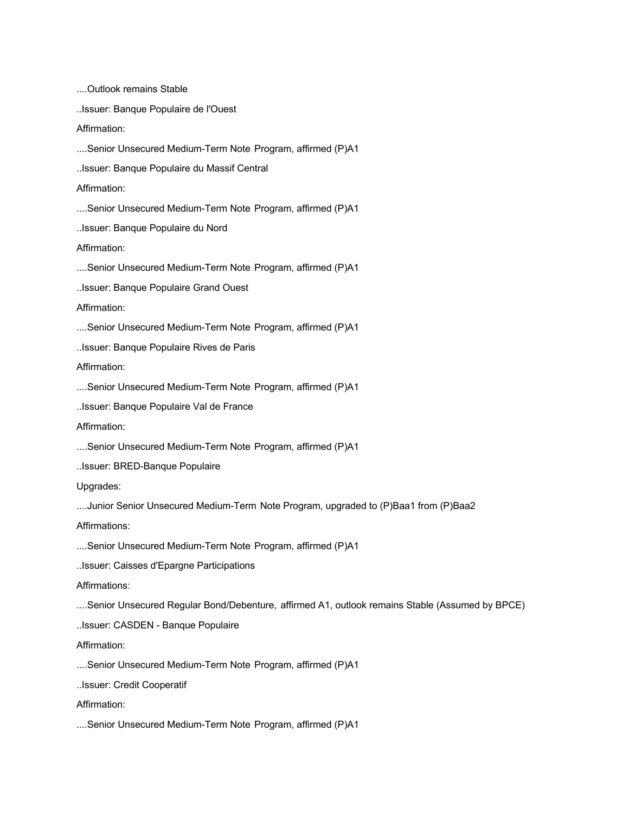....Outlook remains Stable ..Issuer: Banque Populaire de l'Ouest Affirmation: ....Senior Unsecured Medium-Term Note Program, affirmed (P)A1 ..Issuer: Banque Populaire du Massif Central Affirmation: ....Senior Unsecured Medium-Term Note Program, affirmed (P)A1 ..Issuer: Banque Populaire du Nord Affirmation: ....Senior Unsecured Medium-Term Note Program, affirmed (P)A1 ..Issuer: Banque Populaire Grand Ouest Affirmation: ....Senior Unsecured Medium-Term Note Program, affirmed (P)A1 ..Issuer: Banque Populaire Rives de Paris Affirmation: ....Senior Unsecured Medium-Term Note Program, affirmed (P)A1 ..Issuer: Banque Populaire Val de France Affirmation: ....Senior Unsecured Medium-Term Note Program, affirmed (P)A1 ..Issuer: BRED-Banque Populaire Upgrades: ....Junior Senior Unsecured Medium-Term Note Program, upgraded to (P)Baa1 from (P)Baa2 Affirmations: ....Senior Unsecured Medium-Term Note Program, affirmed (P)A1 ..Issuer: Caisses d'Epargne Participations Affirmations: ....Senior Unsecured Regular Bond/Debenture, affirmed A1, outlook remains Stable (Assumed by BPCE) ..Issuer: CASDEN - Banque Populaire Affirmation: ....Senior Unsecured Medium-Term Note Program, affirmed (P)A1 ..Issuer: Credit Cooperatif Affirmation: ....Senior Unsecured Medium-Term Note Program, affirmed (P)A1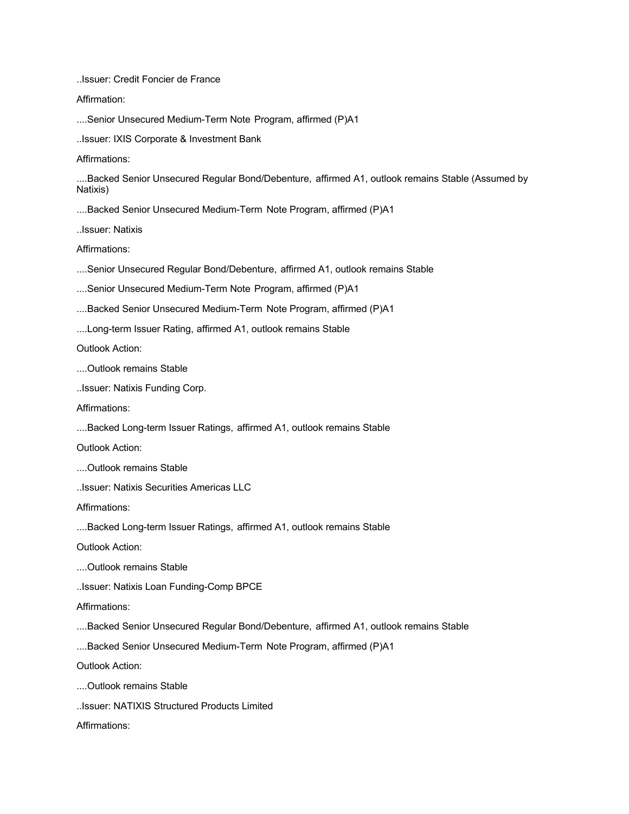..Issuer: Credit Foncier de France

Affirmation:

....Senior Unsecured Medium-Term Note Program, affirmed (P)A1

..Issuer: IXIS Corporate & Investment Bank

Affirmations:

....Backed Senior Unsecured Regular Bond/Debenture, affirmed A1, outlook remains Stable (Assumed by Natixis)

....Backed Senior Unsecured Medium-Term Note Program, affirmed (P)A1

..Issuer: Natixis

Affirmations:

....Senior Unsecured Regular Bond/Debenture, affirmed A1, outlook remains Stable

....Senior Unsecured Medium-Term Note Program, affirmed (P)A1

- ....Backed Senior Unsecured Medium-Term Note Program, affirmed (P)A1
- ....Long-term Issuer Rating, affirmed A1, outlook remains Stable

Outlook Action:

....Outlook remains Stable

..Issuer: Natixis Funding Corp.

Affirmations:

....Backed Long-term Issuer Ratings, affirmed A1, outlook remains Stable

Outlook Action:

- ....Outlook remains Stable
- ..Issuer: Natixis Securities Americas LLC

Affirmations:

....Backed Long-term Issuer Ratings, affirmed A1, outlook remains Stable

Outlook Action:

- ....Outlook remains Stable
- ..Issuer: Natixis Loan Funding-Comp BPCE

Affirmations:

- ....Backed Senior Unsecured Regular Bond/Debenture, affirmed A1, outlook remains Stable
- ....Backed Senior Unsecured Medium-Term Note Program, affirmed (P)A1

Outlook Action:

- ....Outlook remains Stable
- ..Issuer: NATIXIS Structured Products Limited

Affirmations: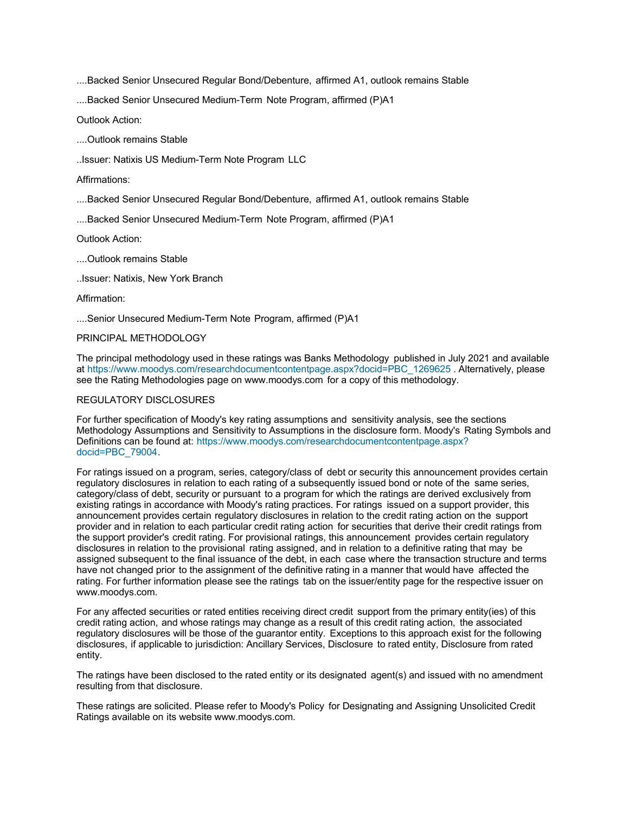- ....Backed Senior Unsecured Regular Bond/Debenture, affirmed A1, outlook remains Stable
- ....Backed Senior Unsecured Medium-Term Note Program, affirmed (P)A1

Outlook Action:

- ....Outlook remains Stable
- ..Issuer: Natixis US Medium-Term Note Program LLC
- Affirmations:
- ....Backed Senior Unsecured Regular Bond/Debenture, affirmed A1, outlook remains Stable
- ....Backed Senior Unsecured Medium-Term Note Program, affirmed (P)A1

Outlook Action:

- ....Outlook remains Stable
- ..Issuer: Natixis, New York Branch

Affirmation:

....Senior Unsecured Medium-Term Note Program, affirmed (P)A1

#### PRINCIPAL METHODOLOGY

The principal methodology used in these ratings was Banks Methodology published in July 2021 and available at [https://www.moodys.com/researchdocumentcontentpage.aspx?docid=PBC\\_1269625](https://www.moodys.com/researchdocumentcontentpage.aspx?docid=PBC_1269625) . Alternatively, please see the Rating Methodologies page on www.moodys.com for a copy of this methodology.

#### REGULATORY DISCLOSURES

For further specification of Moody's key rating assumptions and sensitivity analysis, see the sections Methodology Assumptions and Sensitivity to Assumptions in the disclosure form. Moody's Rating Symbols and [Definitions can be found at: https://www.moodys.com/researchdocumentcontentpage.aspx?](https://www.moodys.com/researchdocumentcontentpage.aspx?docid=PBC_79004) docid=PBC\_79004.

For ratings issued on a program, series, category/class of debt or security this announcement provides certain regulatory disclosures in relation to each rating of a subsequently issued bond or note of the same series, category/class of debt, security or pursuant to a program for which the ratings are derived exclusively from existing ratings in accordance with Moody's rating practices. For ratings issued on a support provider, this announcement provides certain regulatory disclosures in relation to the credit rating action on the support provider and in relation to each particular credit rating action for securities that derive their credit ratings from the support provider's credit rating. For provisional ratings, this announcement provides certain regulatory disclosures in relation to the provisional rating assigned, and in relation to a definitive rating that may be assigned subsequent to the final issuance of the debt, in each case where the transaction structure and terms have not changed prior to the assignment of the definitive rating in a manner that would have affected the rating. For further information please see the ratings tab on the issuer/entity page for the respective issuer on www.moodys.com.

For any affected securities or rated entities receiving direct credit support from the primary entity(ies) of this credit rating action, and whose ratings may change as a result of this credit rating action, the associated regulatory disclosures will be those of the guarantor entity. Exceptions to this approach exist for the following disclosures, if applicable to jurisdiction: Ancillary Services, Disclosure to rated entity, Disclosure from rated entity.

The ratings have been disclosed to the rated entity or its designated agent(s) and issued with no amendment resulting from that disclosure.

These ratings are solicited. Please refer to Moody's Policy for Designating and Assigning Unsolicited Credit Ratings available on its website www.moodys.com.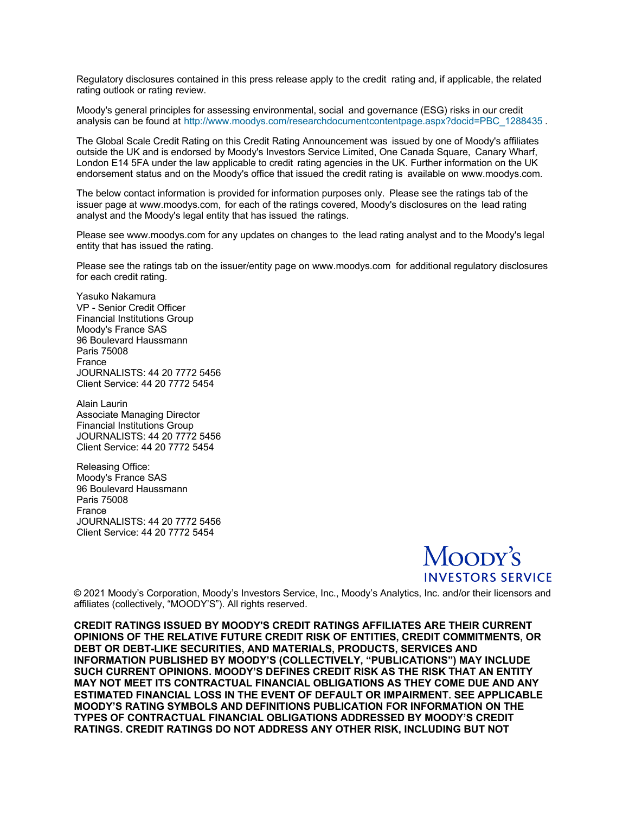Regulatory disclosures contained in this press release apply to the credit rating and, if applicable, the related rating outlook or rating review.

Moody's general principles for assessing environmental, social and governance (ESG) risks in our credit analysis can be found at http://www.moodys.com/researchdocumentcontentpage.aspx?docid=PBC 1288435 .

The Global Scale Credit Rating on this Credit Rating Announcement was issued by one of Moody's affiliates outside the UK and is endorsed by Moody's Investors Service Limited, One Canada Square, Canary Wharf, London E14 5FA under the law applicable to credit rating agencies in the UK. Further information on the UK endorsement status and on the Moody's office that issued the credit rating is available on www.moodys.com.

The below contact information is provided for information purposes only. Please see the ratings tab of the issuer page at www.moodys.com, for each of the ratings covered, Moody's disclosures on the lead rating analyst and the Moody's legal entity that has issued the ratings.

Please see www.moodys.com for any updates on changes to the lead rating analyst and to the Moody's legal entity that has issued the rating.

Please see the ratings tab on the issuer/entity page on www.moodys.com for additional regulatory disclosures for each credit rating.

Yasuko Nakamura VP - Senior Credit Officer Financial Institutions Group Moody's France SAS 96 Boulevard Haussmann Paris 75008 France JOURNALISTS: 44 20 7772 5456 Client Service: 44 20 7772 5454

Alain Laurin Associate Managing Director Financial Institutions Group JOURNALISTS: 44 20 7772 5456 Client Service: 44 20 7772 5454

Releasing Office: Moody's France SAS 96 Boulevard Haussmann Paris 75008 France JOURNALISTS: 44 20 7772 5456 Client Service: 44 20 7772 5454



© 2021 Moody's Corporation, Moody's Investors Service, Inc., Moody's Analytics, Inc. and/or their licensors and affiliates (collectively, "MOODY'S"). All rights reserved.

**CREDIT RATINGS ISSUED BY MOODY'S CREDIT RATINGS AFFILIATES ARE THEIR CURRENT OPINIONS OF THE RELATIVE FUTURE CREDIT RISK OF ENTITIES, CREDIT COMMITMENTS, OR DEBT OR DEBT-LIKE SECURITIES, AND MATERIALS, PRODUCTS, SERVICES AND INFORMATION PUBLISHED BY MOODY'S (COLLECTIVELY, "PUBLICATIONS") MAY INCLUDE SUCH CURRENT OPINIONS. MOODY'S DEFINES CREDIT RISK AS THE RISK THAT AN ENTITY MAY NOT MEET ITS CONTRACTUAL FINANCIAL OBLIGATIONS AS THEY COME DUE AND ANY ESTIMATED FINANCIAL LOSS IN THE EVENT OF DEFAULT OR IMPAIRMENT. SEE APPLICABLE MOODY'S RATING SYMBOLS AND DEFINITIONS PUBLICATION FOR INFORMATION ON THE TYPES OF CONTRACTUAL FINANCIAL OBLIGATIONS ADDRESSED BY MOODY'S CREDIT RATINGS. CREDIT RATINGS DO NOT ADDRESS ANY OTHER RISK, INCLUDING BUT NOT**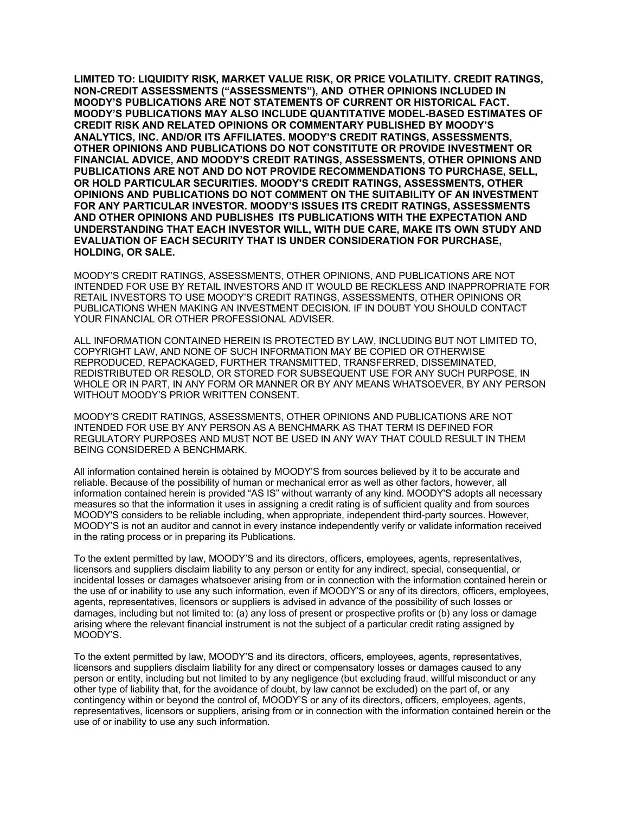**LIMITED TO: LIQUIDITY RISK, MARKET VALUE RISK, OR PRICE VOLATILITY. CREDIT RATINGS, NON-CREDIT ASSESSMENTS ("ASSESSMENTS"), AND OTHER OPINIONS INCLUDED IN MOODY'S PUBLICATIONS ARE NOT STATEMENTS OF CURRENT OR HISTORICAL FACT. MOODY'S PUBLICATIONS MAY ALSO INCLUDE QUANTITATIVE MODEL-BASED ESTIMATES OF CREDIT RISK AND RELATED OPINIONS OR COMMENTARY PUBLISHED BY MOODY'S ANALYTICS, INC. AND/OR ITS AFFILIATES. MOODY'S CREDIT RATINGS, ASSESSMENTS, OTHER OPINIONS AND PUBLICATIONS DO NOT CONSTITUTE OR PROVIDE INVESTMENT OR FINANCIAL ADVICE, AND MOODY'S CREDIT RATINGS, ASSESSMENTS, OTHER OPINIONS AND PUBLICATIONS ARE NOT AND DO NOT PROVIDE RECOMMENDATIONS TO PURCHASE, SELL, OR HOLD PARTICULAR SECURITIES. MOODY'S CREDIT RATINGS, ASSESSMENTS, OTHER OPINIONS AND PUBLICATIONS DO NOT COMMENT ON THE SUITABILITY OF AN INVESTMENT FOR ANY PARTICULAR INVESTOR. MOODY'S ISSUES ITS CREDIT RATINGS, ASSESSMENTS AND OTHER OPINIONS AND PUBLISHES ITS PUBLICATIONS WITH THE EXPECTATION AND UNDERSTANDING THAT EACH INVESTOR WILL, WITH DUE CARE, MAKE ITS OWN STUDY AND EVALUATION OF EACH SECURITY THAT IS UNDER CONSIDERATION FOR PURCHASE, HOLDING, OR SALE.** 

MOODY'S CREDIT RATINGS, ASSESSMENTS, OTHER OPINIONS, AND PUBLICATIONS ARE NOT INTENDED FOR USE BY RETAIL INVESTORS AND IT WOULD BE RECKLESS AND INAPPROPRIATE FOR RETAIL INVESTORS TO USE MOODY'S CREDIT RATINGS, ASSESSMENTS, OTHER OPINIONS OR PUBLICATIONS WHEN MAKING AN INVESTMENT DECISION. IF IN DOUBT YOU SHOULD CONTACT YOUR FINANCIAL OR OTHER PROFESSIONAL ADVISER.

ALL INFORMATION CONTAINED HEREIN IS PROTECTED BY LAW, INCLUDING BUT NOT LIMITED TO, COPYRIGHT LAW, AND NONE OF SUCH INFORMATION MAY BE COPIED OR OTHERWISE REPRODUCED, REPACKAGED, FURTHER TRANSMITTED, TRANSFERRED, DISSEMINATED, REDISTRIBUTED OR RESOLD, OR STORED FOR SUBSEQUENT USE FOR ANY SUCH PURPOSE, IN WHOLE OR IN PART, IN ANY FORM OR MANNER OR BY ANY MEANS WHATSOEVER, BY ANY PERSON WITHOUT MOODY'S PRIOR WRITTEN CONSENT.

MOODY'S CREDIT RATINGS, ASSESSMENTS, OTHER OPINIONS AND PUBLICATIONS ARE NOT INTENDED FOR USE BY ANY PERSON AS A BENCHMARK AS THAT TERM IS DEFINED FOR REGULATORY PURPOSES AND MUST NOT BE USED IN ANY WAY THAT COULD RESULT IN THEM BEING CONSIDERED A BENCHMARK.

All information contained herein is obtained by MOODY'S from sources believed by it to be accurate and reliable. Because of the possibility of human or mechanical error as well as other factors, however, all information contained herein is provided "AS IS" without warranty of any kind. MOODY'S adopts all necessary measures so that the information it uses in assigning a credit rating is of sufficient quality and from sources MOODY'S considers to be reliable including, when appropriate, independent third-party sources. However, MOODY'S is not an auditor and cannot in every instance independently verify or validate information received in the rating process or in preparing its Publications.

To the extent permitted by law, MOODY'S and its directors, officers, employees, agents, representatives, licensors and suppliers disclaim liability to any person or entity for any indirect, special, consequential, or incidental losses or damages whatsoever arising from or in connection with the information contained herein or the use of or inability to use any such information, even if MOODY'S or any of its directors, officers, employees, agents, representatives, licensors or suppliers is advised in advance of the possibility of such losses or damages, including but not limited to: (a) any loss of present or prospective profits or (b) any loss or damage arising where the relevant financial instrument is not the subject of a particular credit rating assigned by MOODY'S.

To the extent permitted by law, MOODY'S and its directors, officers, employees, agents, representatives, licensors and suppliers disclaim liability for any direct or compensatory losses or damages caused to any person or entity, including but not limited to by any negligence (but excluding fraud, willful misconduct or any other type of liability that, for the avoidance of doubt, by law cannot be excluded) on the part of, or any contingency within or beyond the control of, MOODY'S or any of its directors, officers, employees, agents, representatives, licensors or suppliers, arising from or in connection with the information contained herein or the use of or inability to use any such information.